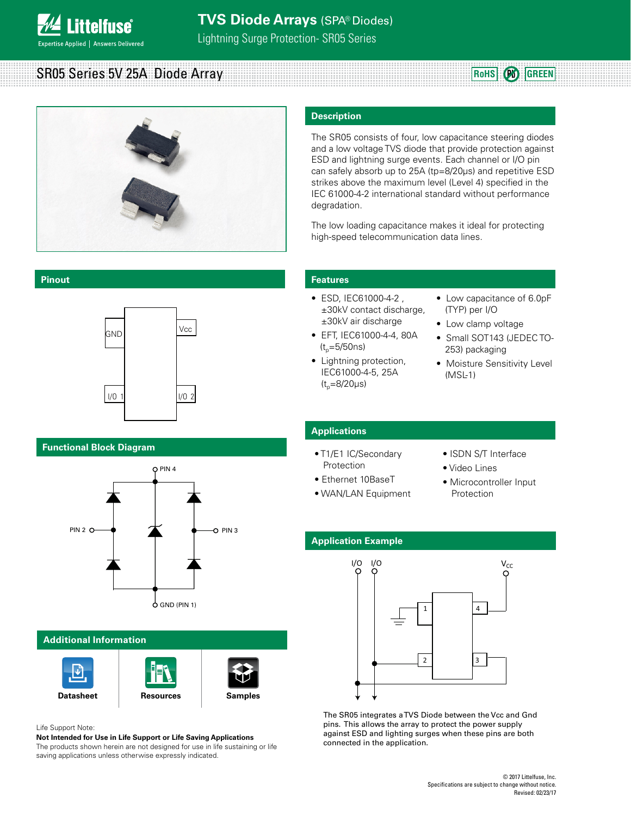

SR05 Series 5V 25A Diode Array



### **Description**

The SR05 consists of four, low capacitance steering diodes and a low voltage TVS diode that provide protection against ESD and lightning surge events. Each channel or I/O pin can safely absorb up to 25A (tp=8/20μs) and repetitive ESD strikes above the maximum level (Level 4) specified in the IEC 61000-4-2 international standard without performance degradation.

The low loading capacitance makes it ideal for protecting high-speed telecommunication data lines.

#### **Pinout**



**SOT143**

#### **Functional Block Diagram**



#### **Additional Information**





Life Support Note:

**Not Intended for Use in Life Support or Life Saving Applications**

The products shown herein are not designed for use in life sustaining or life saving applications unless otherwise expressly indicated.

#### **Features**

- ESD, IEC61000-4-2 , ±30kV contact discharge, ±30kV air discharge
- EFT, IEC61000-4-4, 80A  $(t_{p}=5/50ns)$
- Lightning protection, IEC61000-4-5, 25A  $(t_{p}=8/20 \mu s)$
- Low capacitance of 6.0pF (TYP) per I/O

**RoHS Pb GREEN**

- Low clamp voltage
- Small SOT143 (JEDEC TO-253) packaging
- Moisture Sensitivity Level (MSL-1)

#### **Applications**

- T1/E1 IC/Secondary Protection
- Ethernet 10BaseT
- WAN/LAN Equipment
- ISDN S/T Interface
- Video Lines
- Microcontroller Input Protection

#### **Application Example**



The SR05 integrates a TVS Diode between the Vcc and Gnd pins. This allows the array to protect the power supply against ESD and lighting surges when these pins are both connected in the application.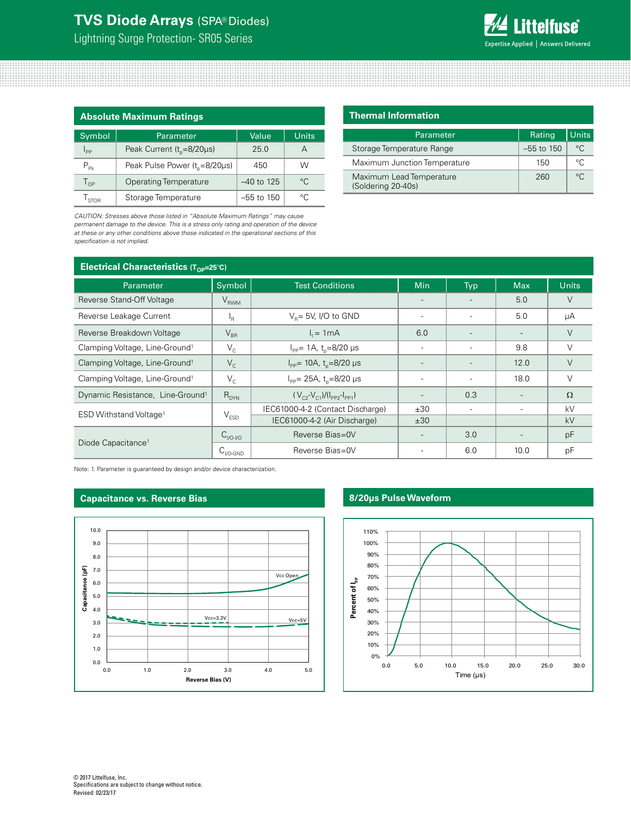Lightning Surge Protection- SR05 Series



| <b>Absolute Maximum Ratings</b> |                                       |              |             |  |
|---------------------------------|---------------------------------------|--------------|-------------|--|
| Symbol                          | Parameter                             | Units        |             |  |
| $I_{\text{pp}}$                 | Peak Current ( $t_{p} = 8/20\mu s$ )  | 25.0         | А           |  |
| $P_{p_k}$                       | Peak Pulse Power $(t_0 = 8/20 \mu s)$ | 450          | W           |  |
| $T_{\Omega P}$                  | <b>Operating Temperature</b>          | $-40$ to 125 | $^{\circ}C$ |  |
| <b>STOR</b>                     | Storage Temperature                   | $-55$ to 150 | $\circ$     |  |

*CAUTION: Stresses above those listed in "Absolute Maximum Ratings" may cause permanent damage to the device. This is a stress only rating and operation of the device at these or any other conditions above those indicated in the operational sections of this specification is not implied.*

| <b>Thermal Information</b>                     |              |              |  |  |
|------------------------------------------------|--------------|--------------|--|--|
| Parameter                                      | Rating       | Units        |  |  |
| Storage Temperature Range                      | $-55$ to 150 | $^{\circ}$ C |  |  |
| Maximum Junction Temperature                   | 150          | °€           |  |  |
| Maximum Lead Temperature<br>(Soldering 20-40s) | 260          | $\circ$      |  |  |

| <b>Electrical Characteristics (Top=25°C)</b> |                                       |                                                |                          |                          |                          |              |
|----------------------------------------------|---------------------------------------|------------------------------------------------|--------------------------|--------------------------|--------------------------|--------------|
| Parameter                                    | Symbol                                | <b>Test Conditions</b>                         | <b>Min</b>               | Typ                      | <b>Max</b>               | <b>Units</b> |
| Reverse Stand-Off Voltage                    | $V_{RWM}$                             |                                                |                          |                          | 5.0                      | V            |
| Reverse Leakage Current                      | ١R                                    | $V_p = 5V$ , I/O to GND                        |                          |                          | 5.0                      | μA           |
| Reverse Breakdown Voltage                    | $V_{BR}$                              | $l = 1mA$                                      | 6.0                      |                          | $\overline{a}$           | $\vee$       |
| Clamping Voltage, Line-Ground <sup>1</sup>   | $V_{C}$                               | $I_{PP}$ = 1A, t <sub>n</sub> =8/20 µs         | $\overline{\phantom{a}}$ | $\overline{\phantom{a}}$ | 9.8                      | V            |
| Clamping Voltage, Line-Ground <sup>1</sup>   | $V_c$                                 | $I_{PP}$ = 10A, t <sub>n</sub> =8/20 µs        |                          |                          | 12.0                     | V            |
| Clamping Voltage, Line-Ground <sup>1</sup>   | $V_{\rm c}$                           | $I_{\text{pp}}$ = 25A, t <sub>n</sub> =8/20 µs | $\overline{\phantom{0}}$ | ۰                        | 18.0                     | $\vee$       |
| Dynamic Resistance, Line-Ground <sup>1</sup> | $R_{DYN}$                             | $(V_{C2} - V_{C1})/(I_{PP2} - I_{PP1})$        | $\overline{\phantom{a}}$ | 0.3                      | $\overline{\phantom{a}}$ | $\Omega$     |
| ESD Withstand Voltage <sup>1</sup>           | $V_{ESD}$                             | IEC61000-4-2 (Contact Discharge)               | ±30                      | $\overline{\phantom{a}}$ |                          | kV           |
|                                              |                                       | IEC61000-4-2 (Air Discharge)                   | ±30                      |                          |                          | kV           |
|                                              | $C_{\frac{1}{10} \cdot \frac{1}{10}}$ | Reverse Bias=0V                                | $\overline{\phantom{0}}$ | 3.0                      | $\overline{\phantom{a}}$ | pF           |
| Diode Capacitance <sup>1</sup>               | $C_{I/O\text{-GND}}$                  | Reverse Bias=0V                                |                          | 6.0                      | 10.0                     | pF           |

Note: 1. Parameter is guaranteed by design and/or device characterization.

#### **Capacitance vs. Reverse Bias**



#### **8/20μs Pulse Waveform**

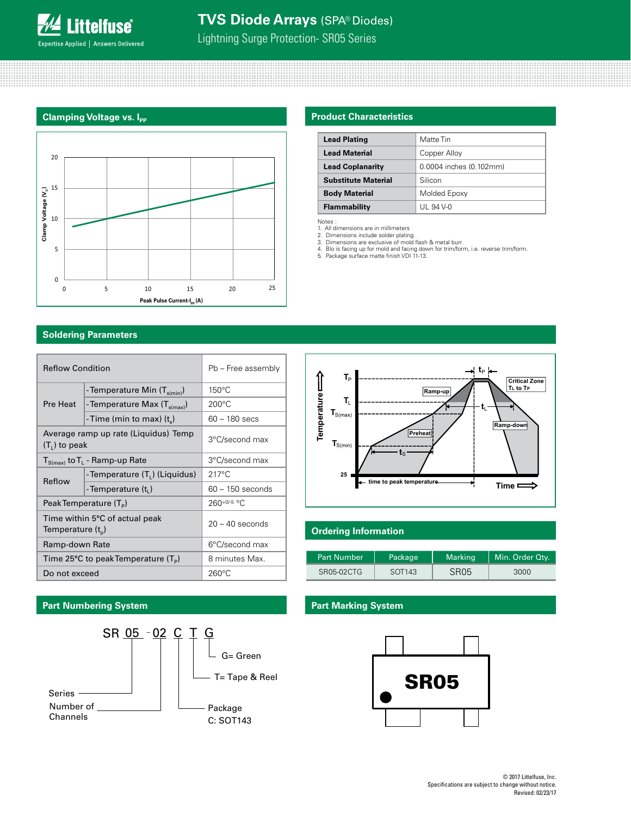Lightning Surge Protection- SR05 Series

#### **Clamping Voltage vs. Ipp**



# **Product Characteristics**

| <b>Lead Plating</b>        | Matte Tin               |  |
|----------------------------|-------------------------|--|
| <b>Lead Material</b>       | Copper Alloy            |  |
| <b>Lead Coplanarity</b>    | 0.0004 inches (0.102mm) |  |
| <b>Substitute Material</b> | Silicon                 |  |
| <b>Body Material</b>       | Molded Epoxy            |  |
| <b>Flammability</b>        | UL 94 V-0               |  |

**Temperature**

Temperature -

 $T_P$ 

**T**L  $\mathbf{T}_{S(max)}$ 

**T**S(min)

**25**

Notes : 1. All dimensions are in millimeters 2. Dimensions include solder plating. 3. Dimensions are exclusive of mold flash & metal burr.

4. Blo is facing up for mold and facing down for trim/form, i.e. reverse trim/form. 5. Package surface matte finish VDI 11-13.

#### **Soldering Parameters**

| <b>Reflow Condition</b> |                                                           | Pb - Free assembly |  |
|-------------------------|-----------------------------------------------------------|--------------------|--|
|                         | -Temperature Min (T <sub>s(min)</sub> )                   | $150^{\circ}$ C    |  |
| Pre Heat                | - Temperature Max (T <sub>s(max)</sub> )                  | $200^{\circ}$ C    |  |
|                         | -Time (min to max) $(t_*)$                                | $60 - 180$ secs    |  |
| $(T1)$ to peak          | Average ramp up rate (Liquidus) Temp                      | 3°C/second max     |  |
|                         | $T_{S(max)}$ to $T_L$ - Ramp-up Rate                      | 3°C/second max     |  |
|                         | -Temperature (T <sub>L</sub> ) (Liquidus)                 | $217^{\circ}$ C    |  |
| Reflow                  | -Temperature (t <sub>i</sub> )                            | $60 - 150$ seconds |  |
|                         | Peak Temperature (T <sub>p</sub> )                        | $260+0/5$ °C       |  |
| Temperature $(t_{n})$   | Time within 5°C of actual peak                            | $20 - 40$ seconds  |  |
| Ramp-down Rate          |                                                           | 6°C/second max     |  |
|                         | Time 25 $\degree$ C to peak Temperature (T <sub>p</sub> ) | 8 minutes Max.     |  |
| Do not exceed           |                                                           | $260^{\circ}$ C    |  |

# **Ordering Information**

 $\mathbf{t}_\texttt{S}$ 

**Preheat**

**Ramp-up**

**time to peak temperature**

| <b>Part Number</b> | 'Package           | Marking          | Min. Order Qtv. |
|--------------------|--------------------|------------------|-----------------|
| SR05-02CTG         | SOT <sub>143</sub> | SR <sub>05</sub> | 3000            |

#### **Part Numbering System Part Marking System**





**Time**

 $\Rightarrow$ 

**Ramp-dow Ramp-do n**

**Critical Zone TL to TP**

 $t_{\rm P}$ 

**t**L